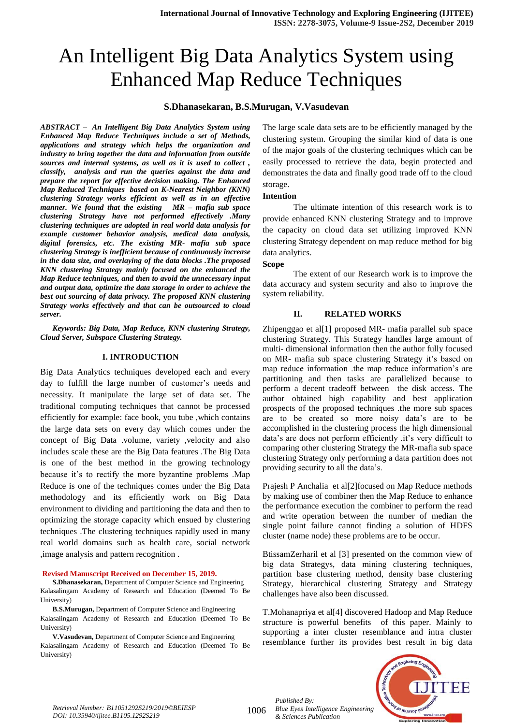# An Intelligent Big Data Analytics System using Enhanced Map Reduce Techniques

# **S.Dhanasekaran, B.S.Murugan, V.Vasudevan**

*ABSTRACT – An Intelligent Big Data Analytics System using Enhanced Map Reduce Techniques include a set of Methods, applications and strategy which helps the organization and industry to bring together the data and information from outside sources and internal systems, as well as it is used to collect , classify, analysis and run the queries against the data and prepare the report for effective decision making. The Enhanced Map Reduced Techniques based on K-Nearest Neighbor (KNN) clustering Strategy works efficient as well as in an effective manner. We found that the existing MR – mafia sub space clustering Strategy have not performed effectively .Many clustering techniques are adopted in real world data analysis for example customer behavior analysis, medical data analysis, digital forensics, etc. The existing MR- mafia sub space clustering Strategy is inefficient because of continuously increase in the data size, and overlaying of the data blocks .The proposed KNN clustering Strategy mainly focused on the enhanced the Map Reduce techniques, and then to avoid the unnecessary input and output data, optimize the data storage in order to achieve the best out sourcing of data privacy. The proposed KNN clustering Strategy works effectively and that can be outsourced to cloud server.*

*Keywords: Big Data, Map Reduce, KNN clustering Strategy, Cloud Server, Subspace Clustering Strategy.*

#### **I. INTRODUCTION**

Big Data Analytics techniques developed each and every day to fulfill the large number of customer's needs and necessity. It manipulate the large set of data set. The traditional computing techniques that cannot be processed efficiently for example: face book, you tube ,which contains the large data sets on every day which comes under the concept of Big Data .volume, variety ,velocity and also includes scale these are the Big Data features .The Big Data is one of the best method in the growing technology because it's to rectify the more byzantine problems .Map Reduce is one of the techniques comes under the Big Data methodology and its efficiently work on Big Data environment to dividing and partitioning the data and then to optimizing the storage capacity which ensued by clustering techniques .The clustering techniques rapidly used in many real world domains such as health care, social network ,image analysis and pattern recognition .

#### **Revised Manuscript Received on December 15, 2019.**

**S.Dhanasekaran,** Department of Computer Science and Engineering Kalasalingam Academy of Research and Education (Deemed To Be University)

**B.S.Murugan,** Department of Computer Science and Engineering Kalasalingam Academy of Research and Education (Deemed To Be University)

**V.Vasudevan,** Department of Computer Science and Engineering Kalasalingam Academy of Research and Education (Deemed To Be University)

The large scale data sets are to be efficiently managed by the clustering system. Grouping the similar kind of data is one of the major goals of the clustering techniques which can be easily processed to retrieve the data, begin protected and demonstrates the data and finally good trade off to the cloud storage.

#### **Intention**

The ultimate intention of this research work is to provide enhanced KNN clustering Strategy and to improve the capacity on cloud data set utilizing improved KNN clustering Strategy dependent on map reduce method for big data analytics.

#### **Scope**

The extent of our Research work is to improve the data accuracy and system security and also to improve the system reliability.

# **II. RELATED WORKS**

Zhipenggao et al[1] proposed MR- mafia parallel sub space clustering Strategy. This Strategy handles large amount of multi- dimensional information then the author fully focused on MR- mafia sub space clustering Strategy it's based on map reduce information .the map reduce information's are partitioning and then tasks are parallelized because to perform a decent tradeoff between the disk access. The author obtained high capability and best application prospects of the proposed techniques .the more sub spaces are to be created so more noisy data's are to be accomplished in the clustering process the high dimensional data's are does not perform efficiently .it's very difficult to comparing other clustering Strategy the MR-mafia sub space clustering Strategy only performing a data partition does not providing security to all the data's.

Prajesh P Anchalia et al[2]focused on Map Reduce methods by making use of combiner then the Map Reduce to enhance the performance execution the combiner to perform the read and write operation between the number of median the single point failure cannot finding a solution of HDFS cluster (name node) these problems are to be occur.

BtissamZerharil et al [3] presented on the common view of big data Strategys, data mining clustering techniques, partition base clustering method, density base clustering Strategy, hierarchical clustering Strategy and Strategy challenges have also been discussed.

T.Mohanapriya et al[4] discovered Hadoop and Map Reduce structure is powerful benefits of this paper. Mainly to supporting a inter cluster resemblance and intra cluster resemblance further its provides best result in big data



1006 *Retrieval Number: B11051292S219/2019©BEIESP DOI: 10.35940/ijitee.B1105.1292S219*

*Published By: Blue Eyes Intelligence Engineering & Sciences Publication*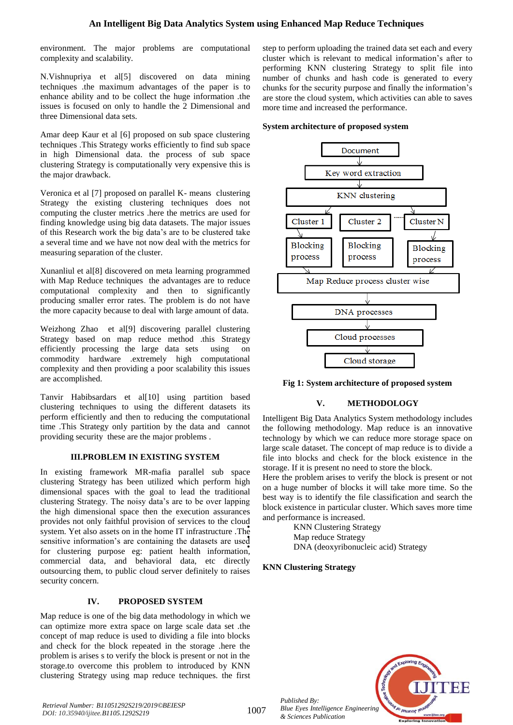# **An Intelligent Big Data Analytics System using Enhanced Map Reduce Techniques**

environment. The major problems are computational complexity and scalability.

N.Vishnupriya et al[5] discovered on data mining techniques .the maximum advantages of the paper is to enhance ability and to be collect the huge information .the issues is focused on only to handle the 2 Dimensional and three Dimensional data sets.

Amar deep Kaur et al [6] proposed on sub space clustering techniques .This Strategy works efficiently to find sub space in high Dimensional data. the process of sub space clustering Strategy is computationally very expensive this is the major drawback.

Veronica et al [7] proposed on parallel K- means clustering Strategy the existing clustering techniques does not computing the cluster metrics .here the metrics are used for finding knowledge using big data datasets. The major issues of this Research work the big data's are to be clustered take a several time and we have not now deal with the metrics for measuring separation of the cluster.

Xunanliul et al[8] discovered on meta learning programmed with Map Reduce techniques the advantages are to reduce computational complexity and then to significantly producing smaller error rates. The problem is do not have the more capacity because to deal with large amount of data.

Weizhong Zhao et al[9] discovering parallel clustering Strategy based on map reduce method .this Strategy efficiently processing the large data sets using on commodity hardware .extremely high computational complexity and then providing a poor scalability this issues are accomplished.

Tanvir Habibsardars et al[10] using partition based clustering techniques to using the different datasets its perform efficiently and then to reducing the computational time .This Strategy only partition by the data and cannot providing security these are the major problems .

#### **III.PROBLEM IN EXISTING SYSTEM**

In existing framework MR-mafia parallel sub space clustering Strategy has been utilized which perform high dimensional spaces with the goal to lead the traditional clustering Strategy. The noisy data's are to be over lapping the high dimensional space then the execution assurances provides not only faithful provision of services to the cloud system. Yet also assets on in the home IT infrastructure .The sensitive information's are containing the datasets are used for clustering purpose eg: patient health information, commercial data, and behavioral data, etc directly outsourcing them, to public cloud server definitely to raises security concern.

# **IV. PROPOSED SYSTEM**

Map reduce is one of the big data methodology in which we can optimize more extra space on large scale data set .the concept of map reduce is used to dividing a file into blocks and check for the block repeated in the storage .here the problem is arises s to verify the block is present or not in the storage.to overcome this problem to introduced by KNN clustering Strategy using map reduce techniques. the first

step to perform uploading the trained data set each and every cluster which is relevant to medical information's after to performing KNN clustering Strategy to split file into number of chunks and hash code is generated to every chunks for the security purpose and finally the information's are store the cloud system, which activities can able to saves more time and increased the performance.

### **System architecture of proposed system**



**Fig 1: System architecture of proposed system**

# **V. METHODOLOGY**

Intelligent Big Data Analytics System methodology includes the following methodology. Map reduce is an innovative technology by which we can reduce more storage space on large scale dataset. The concept of map reduce is to divide a file into blocks and check for the block existence in the storage. If it is present no need to store the block.

Here the problem arises to verify the block is present or not on a huge number of blocks it will take more time. So the best way is to identify the file classification and search the block existence in particular cluster. Which saves more time and performance is increased.

> • KNN Clustering Strategy Map reduce Strategy • DNA (deoxyribonucleic acid) Strategy

# **KNN Clustering Strategy**

*Published By:*

*& Sciences Publication* 

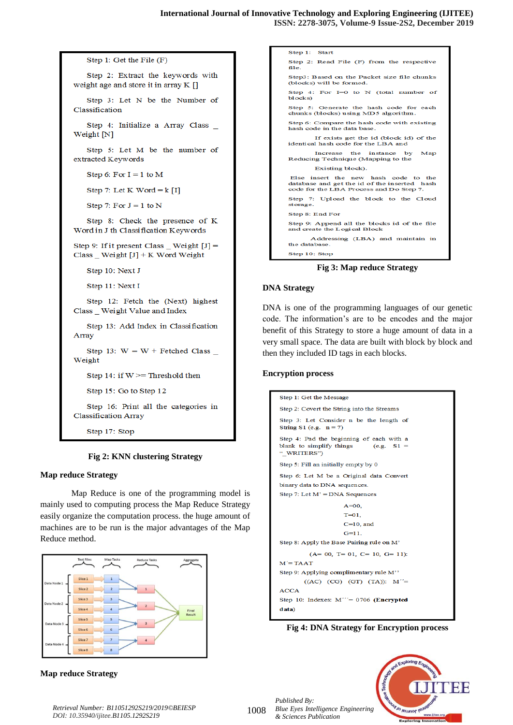```
Step 1: Get the File (F)
   Step 2: Extract the keywords with
weight age and store it in array K []
   Step 3: Let N be the Number of
Classification
   Step 4: Initialize a Array Class _
Weight [N]
   Step 5: Let M be the number of
extracted Keywords
   Step 6: For I = 1 to M
   Step 7: Let K Word = k [I]
   Step 7: For J = 1 to N
   Step 8: Check the presence of K
Word in J th Classification Keywords
Step 9: If it present Class _ Weight [J] =Class _ Weight [J] + K Word Weight
   Step 10: Next J
   Step 11: Next I
   Step 12: Fetch the (Next) highest
Class _ Weight Value and Index
   Step 13: Add Index in Classification
Array
   Step 13: W = W + Fetched Class _
Weight
   Step 14: if W \geq Threshold then
   Step 15: Go to Step 12
   Step 16: Print all the categories in
Classification Array
```
Step 17: Stop

#### **Fig 2: KNN clustering Strategy**

#### **Map reduce Strategy**

Map Reduce is one of the programming model is mainly used to computing process the Map Reduce Strategy easily organize the computation process. the huge amount of machines are to be run is the major advantages of the Map Reduce method.



# **Map reduce Strategy**

Step 1: Start Step 2: Read File (F) from the respective file. Step3: Based on the Packet size file chunks (blocks) will be formed. Step 4: For  $I=0$  to N (total number of  $blocks$ Step 5: Generate the hash code for each chunks (blocks) using MD5 algorithm. Step 6: Compare the hash code with existing<br>hash code in the data base. If exists get the id (block id) of the identical hash code for the LBA and the instance Increase by Map Reducing Technique (Mapping to the Existing block). Else insert the new hash code to the database and get the id of the inserted  $\mathbf{hash}$ code for the LBA Process and Do Step 7. Step 7: Upload the block to the Cloud storage. Step 8: End For Step 9: Append all the blocks id of the file and create the Logical Block Addressing (LBA) and maintain in the database

Step 10: Stop

**Fig 3: Map reduce Strategy**

#### **DNA Strategy**

DNA is one of the programming languages of our genetic code. The information's are to be encodes and the major benefit of this Strategy to store a huge amount of data in a very small space. The data are built with block by block and then they included ID tags in each blocks.

#### **Encryption process**

```
Step 1: Get the Message
Step 2: Covert the String into the Streams
Step 3: Let Consider n be the length of
String S1 (e.g. n = 7)
Step 4: Pad the beginning of each with a
blank to simplify things
                              (e.g. S1 =" WRITERS")
Step 5: Fill an initially empty by 0
Step 6: Let M be a Original data Convert
binary data to DNA sequences.
Step 7: Let M' = DNA Sequences
                    A=00,
                    T = 0.1C=10, and
                    G=11.Step 8: Apply the Base Pairing rule on M'
         (A= 00, T= 01, C= 10, G= 11)M' = TAAT
Step 9: Applying complimentary rule M''
        ((AC) (CG) (GT) (TA)): M''=
ACCA
Step 10: Indexes: M^{\prime\prime}=0706 (Encrypted
data)
```
**Fig 4: DNA Strategy for Encryption process**

*Published By: Blue Eyes Intelligence Engineering & Sciences Publication* 



1008 *Retrieval Number: B11051292S219/2019©BEIESP DOI: 10.35940/ijitee.B1105.1292S219*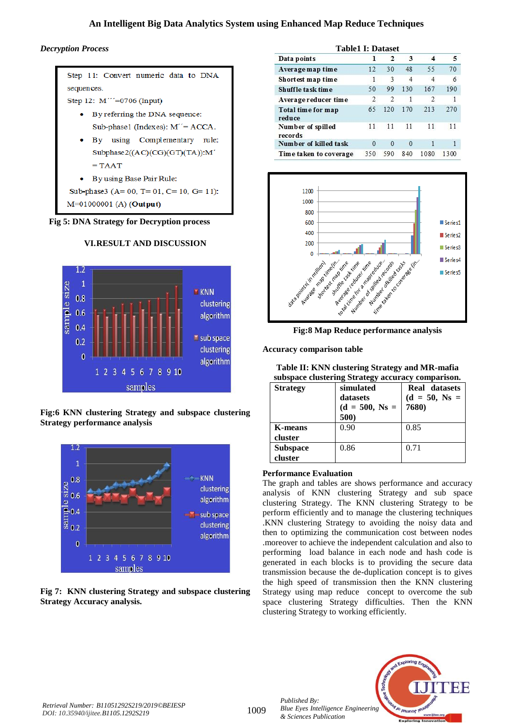# **An Intelligent Big Data Analytics System using Enhanced Map Reduce Techniques**

# *Decryption Process*

Step 11: Convert numeric data to DNA sequences.

Step 12: M'''=0706 (Input)

- By referring the DNA sequence: Sub-phase1 (Indexes): M''= ACCA.
- By using Complementary rule: Subphase2((AC)(CG)(GT)(TA)):M'  $= TAAT$
- By using Base Pair Rule:
- Sub-phase3 (A=  $00$ , T=  $01$ , C=  $10$ , G=  $11$ ):

M=01000001 (A) (Output)

**Fig 5: DNA Strategy for Decryption process**



# **VI.RESULT AND DISCUSSION**

**Fig:6 KNN clustering Strategy and subspace clustering Strategy performance analysis** 



# **Fig 7: KNN clustering Strategy and subspace clustering Strategy Accuracy analysis.**

| Data points                  | 1              | $\mathbf{2}$  | З        | 4              | 5            |
|------------------------------|----------------|---------------|----------|----------------|--------------|
| Average map time             | 12             | 30            | 48       | 55             | 70           |
| Shortest map time            | $\overline{1}$ | 3             | 4        | 4              | 6            |
| Shuffle task time            | 50             | 99            | 130      | 167            | 190          |
| Average reducer time         | $\mathfrak{D}$ | $\mathcal{D}$ | 1        | $\mathfrak{D}$ | 1            |
| Total time for map<br>reduce | 65             | 120           | 170      | 213            | 270          |
| Number of spilled<br>records | 11             | 11            | 11       | 11             | 11           |
| Number of killed task        | $\Omega$       | $\Omega$      | $\Omega$ |                | $\mathbf{1}$ |
| Time taken to coverage       | 350            | 590           | 840      | 1080           | 1300         |



**Fig:8 Map Reduce performance analysis**

**Accuracy comparison table**

| Table II: KNN clustering Strategy and MR-mafia    |  |
|---------------------------------------------------|--|
| subspace clustering Strategy accuracy comparison. |  |

| <b>Strategy</b>            | simulated<br>datasets<br>$(d = 500, Ns =$<br>500) | <b>Real</b> datasets<br>$(d = 50, Ns =$<br>7680) |
|----------------------------|---------------------------------------------------|--------------------------------------------------|
| K-means<br>cluster         | 0.90                                              | 0.85                                             |
| <b>Subspace</b><br>cluster | 0.86                                              | 0.71                                             |

# **Performance Evaluation**

The graph and tables are shows performance and accuracy analysis of KNN clustering Strategy and sub space clustering Strategy. The KNN clustering Strategy to be perform efficiently and to manage the clustering techniques .KNN clustering Strategy to avoiding the noisy data and then to optimizing the communication cost between nodes .moreover to achieve the independent calculation and also to performing load balance in each node and hash code is generated in each blocks is to providing the secure data transmission because the de-duplication concept is to gives the high speed of transmission then the KNN clustering Strategy using map reduce concept to overcome the sub space clustering Strategy difficulties. Then the KNN clustering Strategy to working efficiently.



*Published By:*

*& Sciences Publication*